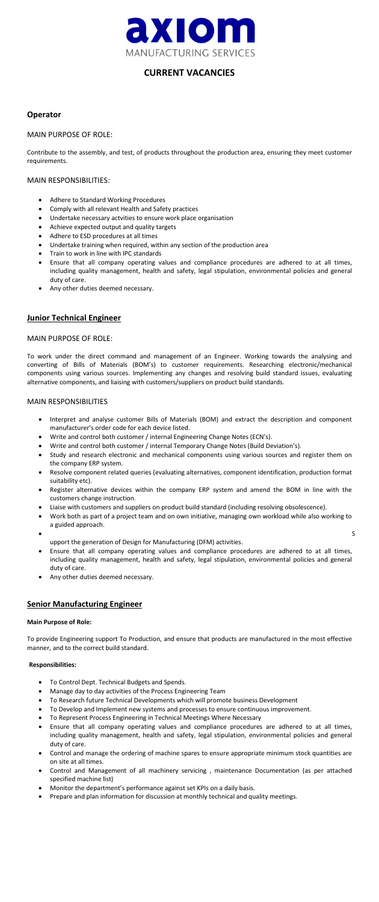

# **CURRENT VACANCIES**

## **Operator**

### MAIN PURPOSE OF ROLE:

- Adhere to Standard Working Procedures
- Comply with all relevant Health and Safety practices
- Undertake necessary actvities to ensure work place organisation
- Achieve expected output and quality targets
- Adhere to ESD procedures at all times
- Undertake training when required, within any section of the production area
- Train to work in line with IPC standards
- Ensure that all company operating values and compliance procedures are adhered to at all times, including quality management, health and safety, legal stipulation, environmental policies and general duty of care.
- Any other duties deemed necessary.

Contribute to the assembly, and test, of products throughout the production area, ensuring they meet customer requirements.

### MAIN RESPONSIBILITIES:

## **Junior Technical Engineer**

## MAIN PURPOSE OF ROLE:

To work under the direct command and management of an Engineer. Working towards the analysing and converting of Bills of Materials (BOM's) to customer requirements. Researching electronic/mechanical components using various sources. Implementing any changes and resolving build standard issues, evaluating alternative components, and liaising with customers/suppliers on product build standards.

## MAIN RESPONSIBILITIES

- Interpret and analyse customer Bills of Materials (BOM) and extract the description and component manufacturer's order code for each device listed.
- Write and control both customer / internal Engineering Change Notes (ECN's).
- Write and control both customer / internal Temporary Change Notes (Build Deviation's).
- Study and research electronic and mechanical components using various sources and register them on the company ERP system.
- Resolve component related queries (evaluating alternatives, component identification, production format suitability etc).
- Register alternative devices within the company ERP system and amend the BOM in line with the customers change instruction.
- Liaise with customers and suppliers on product build standard (including resolving obsolescence).
- Work both as part of a project team and on own initiative, managing own workload while also working to a guided approach.
- $\bullet$  Second set of  $\mathcal{S}$  is the set of  $\mathcal{S}$ 
	- upport the generation of Design for Manufacturing (DFM) activities.
- Ensure that all company operating values and compliance procedures are adhered to at all times, including quality management, health and safety, legal stipulation, environmental policies and general duty of care.

• Any other duties deemed necessary.

## **Senior Manufacturing Engineer**

#### **Main Purpose of Role:**

To provide Engineering support To Production, and ensure that products are manufactured in the most effective manner, and to the correct build standard.

#### **Responsibilities:**

- To Control Dept. Technical Budgets and Spends.
- Manage day to day activities of the Process Engineering Team
- To Research future Technical Developments which will promote business Development
- To Develop and Implement new systems and processes to ensure continuous improvement.
- To Represent Process Engineering in Technical Meetings Where Necessary
- Ensure that all company operating values and compliance procedures are adhered to at all times, including quality management, health and safety, legal stipulation, environmental policies and general duty of care.
- Control and manage the ordering of machine spares to ensure appropriate minimum stock quantities are on site at all times.
- Control and Management of all machinery servicing , maintenance Documentation (as per attached specified machine list)
- Monitor the department's performance against set KPIs on a daily basis.
- Prepare and plan information for discussion at monthly technical and quality meetings.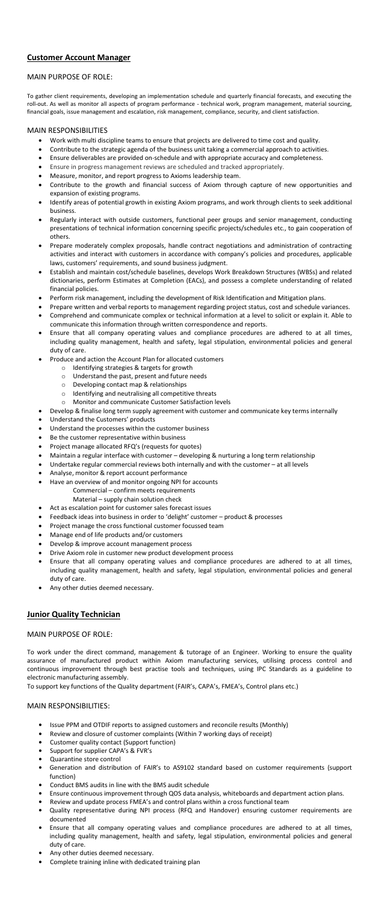## **Customer Account Manager**

### MAIN PURPOSE OF ROLE:

To gather client requirements, developing an implementation schedule and quarterly financial forecasts, and executing the roll-out. As well as monitor all aspects of program performance - technical work, program management, material sourcing, financial goals, issue management and escalation, risk management, compliance, security, and client satisfaction.

#### MAIN RESPONSIBILITIES

- Work with multi discipline teams to ensure that projects are delivered to time cost and quality.
- Contribute to the strategic agenda of the business unit taking a commercial approach to activities.
- Ensure deliverables are provided on-schedule and with appropriate accuracy and completeness.
- Ensure in progress management reviews are scheduled and tracked appropriately.
- Measure, monitor, and report progress to Axioms leadership team.
- Contribute to the growth and financial success of Axiom through capture of new opportunities and expansion of existing programs.
- Identify areas of potential growth in existing Axiom programs, and work through clients to seek additional business.
- Regularly interact with outside customers, functional peer groups and senior management, conducting presentations of technical information concerning specific projects/schedules etc., to gain cooperation of others.
- Prepare moderately complex proposals, handle contract negotiations and administration of contracting activities and interact with customers in accordance with company's policies and procedures, applicable laws, customers' requirements, and sound business judgment.
- Establish and maintain cost/schedule baselines, develops Work Breakdown Structures (WBSs) and related dictionaries, perform Estimates at Completion (EACs), and possess a complete understanding of related financial policies.
- Perform risk management, including the development of Risk Identification and Mitigation plans.
- Prepare written and verbal reports to management regarding project status, cost and schedule variances.
- Comprehend and communicate complex or technical information at a level to solicit or explain it. Able to communicate this information through written correspondence and reports.
- Ensure that all company operating values and compliance procedures are adhered to at all times, including quality management, health and safety, legal stipulation, environmental policies and general duty of care.
- Produce and action the Account Plan for allocated customers
	- o Identifying strategies & targets for growth
	- o Understand the past, present and future needs
	- o Developing contact map & relationships
	- o Identifying and neutralising all competitive threats
	- o Monitor and communicate Customer Satisfaction levels
- Develop & finalise long term supply agreement with customer and communicate key terms internally
- Understand the Customers' products
- Understand the processes within the customer business
- Be the customer representative within business
- Project manage allocated RFQ's (requests for quotes)
- Maintain a regular interface with customer developing & nurturing a long term relationship
- Undertake regular commercial reviews both internally and with the customer at all levels
- Analyse, monitor & report account performance
- Have an overview of and monitor ongoing NPI for accounts

Commercial – confirm meets requirements

- Material supply chain solution check
- Act as escalation point for customer sales forecast issues
- Feedback ideas into business in order to 'delight' customer product & processes
- Project manage the cross functional customer focussed team
- Manage end of life products and/or customers
- Develop & improve account management process
- Drive Axiom role in customer new product development process
- Ensure that all company operating values and compliance procedures are adhered to at all times, including quality management, health and safety, legal stipulation, environmental policies and general duty of care.
- Any other duties deemed necessary.

## **Junior Quality Technician**

#### MAIN PURPOSE OF ROLE:

To work under the direct command, management & tutorage of an Engineer. Working to ensure the quality assurance of manufactured product within Axiom manufacturing services, utilising process control and continuous improvement through best practise tools and techniques, using IPC Standards as a guideline to electronic manufacturing assembly.

To support key functions of the Quality department (FAIR's, CAPA's, FMEA's, Control plans etc.)

#### MAIN RESPONSIBILITIES:

- **•** Issue PPM and OTDIF reports to assigned customers and reconcile results (Monthly)
- **•** Review and closure of customer complaints (Within 7 working days of receipt)
- **•** Customer quality contact (Support function)
- **•** Support for supplier CAPA's & FVR's
- **•** Quarantine store control
- **•** Generation and distribution of FAIR's to AS9102 standard based on customer requirements (support function)
- **•** Conduct BMS audits in line with the BMS audit schedule
- **•** Ensure continuous improvement through QOS data analysis, whiteboards and department action plans.
- **•** Review and update process FMEA's and control plans within a cross functional team
- **•** Quality representative during NPI process (RFQ and Handover) ensuring customer requirements are documented
- **•** Ensure that all company operating values and compliance procedures are adhered to at all times, including quality management, health and safety, legal stipulation, environmental policies and general duty of care.
- **•** Any other duties deemed necessary.
- **•** Complete training inline with dedicated training plan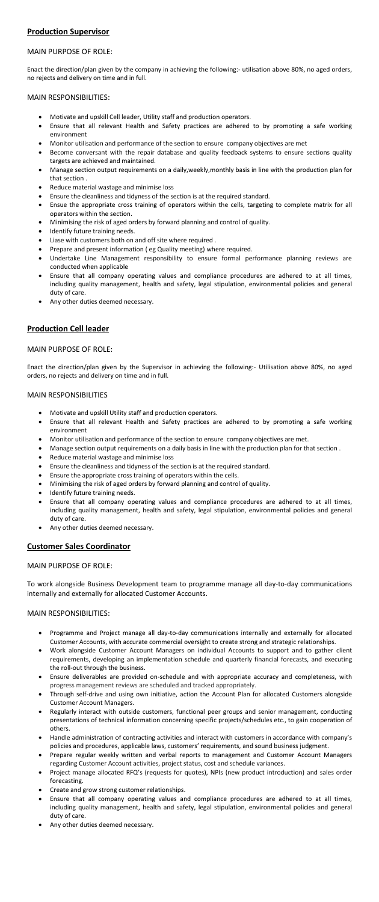## **Production Supervisor**

## MAIN PURPOSE OF ROLE:

- Motivate and upskill Cell leader, Utility staff and production operators.
- Ensure that all relevant Health and Safety practices are adhered to by promoting a safe working environment
- Monitor utilisation and performance of the section to ensure company objectives are met
- Become conversant with the repair database and quality feedback systems to ensure sections quality targets are achieved and maintained.
- Manage section output requirements on a daily,weekly,monthly basis in line with the production plan for that section .
- Reduce material wastage and minimise loss
- Ensure the cleanliness and tidyness of the section is at the required standard.
- Ensue the appropriate cross training of operators within the cells, targeting to complete matrix for all operators within the section.
- Minimising the risk of aged orders by forward planning and control of quality.
- Identify future training needs.
- Liase with customers both on and off site where required .
- Prepare and present information ( eg Quality meeting) where required.
- Undertake Line Management responsibility to ensure formal performance planning reviews are conducted when applicable
- Ensure that all company operating values and compliance procedures are adhered to at all times, including quality management, health and safety, legal stipulation, environmental policies and general duty of care.
- Any other duties deemed necessary.

Enact the direction/plan given by the company in achieving the following:- utilisation above 80%, no aged orders, no rejects and delivery on time and in full.

### MAIN RESPONSIBILITIES:

- Motivate and upskill Utility staff and production operators.
- Ensure that all relevant Health and Safety practices are adhered to by promoting a safe working environment
- Monitor utilisation and performance of the section to ensure company objectives are met.
- Manage section output requirements on a daily basis in line with the production plan for that section .
- Reduce material wastage and minimise loss
- Ensure the cleanliness and tidyness of the section is at the required standard.
- Ensure the appropriate cross training of operators within the cells.
- Minimising the risk of aged orders by forward planning and control of quality.
- Identify future training needs.
- Ensure that all company operating values and compliance procedures are adhered to at all times, including quality management, health and safety, legal stipulation, environmental policies and general duty of care.
- Any other duties deemed necessary.

- Programme and Project manage all day-to-day communications internally and externally for allocated Customer Accounts, with accurate commercial oversight to create strong and strategic relationships.
- Work alongside Customer Account Managers on individual Accounts to support and to gather client requirements, developing an implementation schedule and quarterly financial forecasts, and executing the roll-out through the business.
- Ensure deliverables are provided on-schedule and with appropriate accuracy and completeness, with progress management reviews are scheduled and tracked appropriately.
- Through self-drive and using own initiative, action the Account Plan for allocated Customers alongside Customer Account Managers.
- Regularly interact with outside customers, functional peer groups and senior management, conducting presentations of technical information concerning specific projects/schedules etc., to gain cooperation of others.
- Handle administration of contracting activities and interact with customers in accordance with company's policies and procedures, applicable laws, customers' requirements, and sound business judgment.
- Prepare regular weekly written and verbal reports to management and Customer Account Managers regarding Customer Account activities, project status, cost and schedule variances.
- Project manage allocated RFQ's (requests for quotes), NPIs (new product introduction) and sales order forecasting.
- Create and grow strong customer relationships.
- Ensure that all company operating values and compliance procedures are adhered to at all times, including quality management, health and safety, legal stipulation, environmental policies and general duty of care.
- Any other duties deemed necessary.

## **Production Cell leader**

## MAIN PURPOSE OF ROLE:

Enact the direction/plan given by the Supervisor in achieving the following:- Utilisation above 80%, no aged orders, no rejects and delivery on time and in full.

#### MAIN RESPONSIBILITIES

## **Customer Sales Coordinator**

MAIN PURPOSE OF ROLE:

To work alongside Business Development team to programme manage all day-to-day communications internally and externally for allocated Customer Accounts.

## MAIN RESPONSIBILITIES: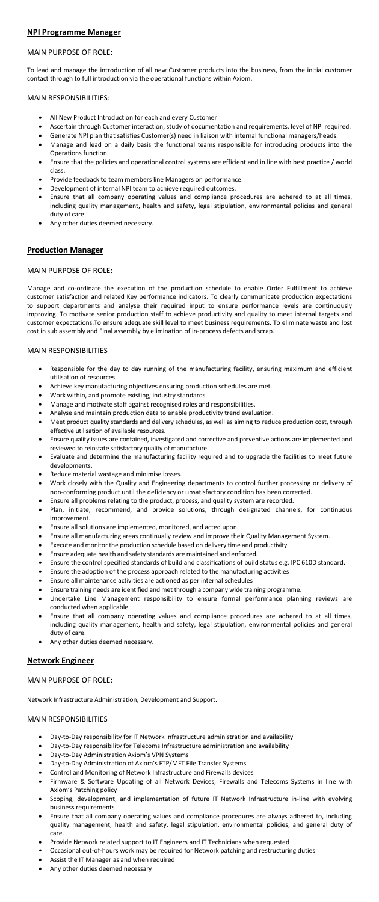## **NPI Programme Manager**

## MAIN PURPOSE OF ROLE:

- All New Product Introduction for each and every Customer
- Ascertain through Customer interaction, study of documentation and requirements, level of NPI required.
- Generate NPI plan that satisfies Customer(s) need in liaison with internal functional managers/heads.
- Manage and lead on a daily basis the functional teams responsible for introducing products into the Operations function.
- Ensure that the policies and operational control systems are efficient and in line with best practice / world class.
- Provide feedback to team members line Managers on performance.
- Development of internal NPI team to achieve required outcomes.
- Ensure that all company operating values and compliance procedures are adhered to at all times, including quality management, health and safety, legal stipulation, environmental policies and general duty of care.
- Any other duties deemed necessary.

To lead and manage the introduction of all new Customer products into the business, from the initial customer contact through to full introduction via the operational functions within Axiom.

### MAIN RESPONSIBILITIES:

- Responsible for the day to day running of the manufacturing facility, ensuring maximum and efficient utilisation of resources.
- Achieve key manufacturing objectives ensuring production schedules are met.
- Work within, and promote existing, industry standards.
- Manage and motivate staff against recognised roles and responsibilities.
- Analyse and maintain production data to enable productivity trend evaluation.
- Meet product quality standards and delivery schedules, as well as aiming to reduce production cost, through effective utilisation of available resources.
- Ensure quality issues are contained, investigated and corrective and preventive actions are implemented and reviewed to reinstate satisfactory quality of manufacture.
- Evaluate and determine the manufacturing facility required and to upgrade the facilities to meet future developments.
- Reduce material wastage and minimise losses.
- Work closely with the Quality and Engineering departments to control further processing or delivery of non-conforming product until the deficiency or unsatisfactory condition has been corrected.
- Ensure all problems relating to the product, process, and quality system are recorded.
- Plan, initiate, recommend, and provide solutions, through designated channels, for continuous improvement.
- Ensure all solutions are implemented, monitored, and acted upon.
- Ensure all manufacturing areas continually review and improve their Quality Management System.
- Execute and monitor the production schedule based on delivery time and productivity.
- Ensure adequate health and safety standards are maintained and enforced.
- Ensure the control specified standards of build and classifications of build status e.g. IPC 610D standard.
- Ensure the adoption of the process approach related to the manufacturing activities
- 
- Ensure all maintenance activities are actioned as per internal schedules
- Ensure training needs are identified and met through a company wide training programme.
- Undertake Line Management responsibility to ensure formal performance planning reviews are conducted when applicable
- Ensure that all company operating values and compliance procedures are adhered to at all times, including quality management, health and safety, legal stipulation, environmental policies and general duty of care.
- Any other duties deemed necessary.

## **Production Manager**

#### MAIN PURPOSE OF ROLE:

Manage and co-ordinate the execution of the production schedule to enable Order Fulfillment to achieve customer satisfaction and related Key performance indicators. To clearly communicate production expectations to support departments and analyse their required input to ensure performance levels are continuously improving. To motivate senior production staff to achieve productivity and quality to meet internal targets and customer expectations.To ensure adequate skill level to meet business requirements. To eliminate waste and lost cost in sub assembly and Final assembly by elimination of in-process defects and scrap.

#### MAIN RESPONSIBILITIES

- Day-to-Day responsibility for IT Network Infrastructure administration and availability
- Day-to-Day responsibility for Telecoms Infrastructure administration and availability
- Day-to-Day Administration Axiom's VPN Systems
- Day-to-Day Administration of Axiom's FTP/MFT File Transfer Systems
- Control and Monitoring of Network Infrastructure and Firewalls devices
- Firmware & Software Updating of all Network Devices, Firewalls and Telecoms Systems in line with Axiom's Patching policy
- Scoping, development, and implementation of future IT Network Infrastructure in-line with evolving business requirements
- Ensure that all company operating values and compliance procedures are always adhered to, including quality management, health and safety, legal stipulation, environmental policies, and general duty of care.
- Provide Network related support to IT Engineers and IT Technicians when requested
- Occasional out-of-hours work may be required for Network patching and restructuring duties
- Assist the IT Manager as and when required
- Any other duties deemed necessary

## **Network Engineer**

#### MAIN PURPOSE OF ROLE:

Network Infrastructure Administration, Development and Support.

### MAIN RESPONSIBILITIES